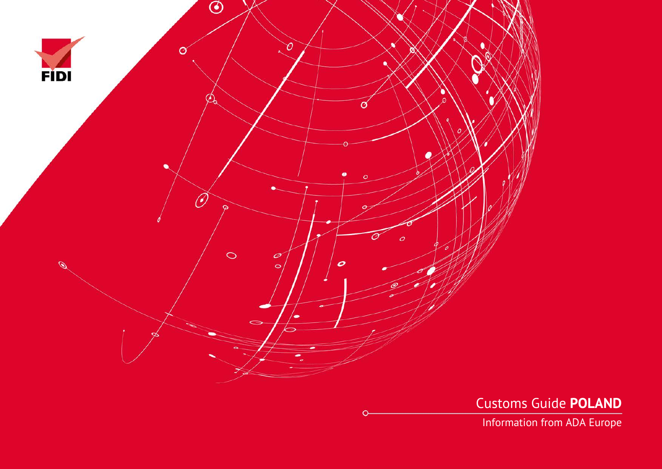

Customs Guide **POLAND**

Information from ADA Europe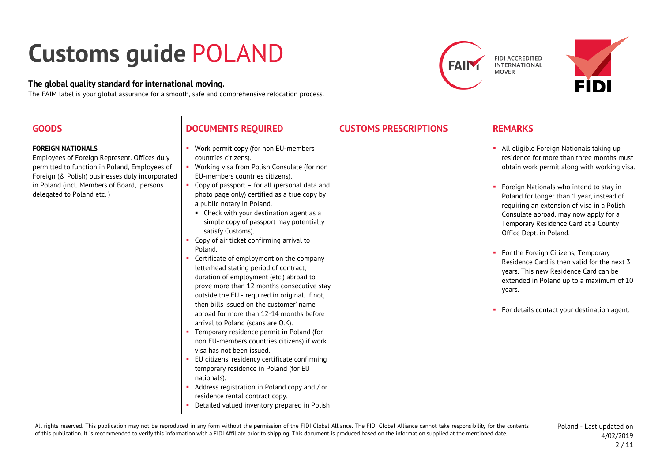## **Customs guide** POLAND

## **The global quality standard for international moving.**

The FAIM label is your global assurance for a smooth, safe and comprehensive relocation process.





| <b>GOODS</b>                                                                                                                                                                                                                                            | <b>DOCUMENTS REQUIRED</b>                                                                                                                                                                                                                                                                                                                                                                                                                                                                                                                                                                                                                                                                                                                                                                                                                                                                                                                                                                                                                                                                                                                                                          | <b>CUSTOMS PRESCRIPTIONS</b> | <b>REMARKS</b>                                                                                                                                                                                                                                                                                                                                                                                                                                                                                                                                                                                                               |
|---------------------------------------------------------------------------------------------------------------------------------------------------------------------------------------------------------------------------------------------------------|------------------------------------------------------------------------------------------------------------------------------------------------------------------------------------------------------------------------------------------------------------------------------------------------------------------------------------------------------------------------------------------------------------------------------------------------------------------------------------------------------------------------------------------------------------------------------------------------------------------------------------------------------------------------------------------------------------------------------------------------------------------------------------------------------------------------------------------------------------------------------------------------------------------------------------------------------------------------------------------------------------------------------------------------------------------------------------------------------------------------------------------------------------------------------------|------------------------------|------------------------------------------------------------------------------------------------------------------------------------------------------------------------------------------------------------------------------------------------------------------------------------------------------------------------------------------------------------------------------------------------------------------------------------------------------------------------------------------------------------------------------------------------------------------------------------------------------------------------------|
| <b>FOREIGN NATIONALS</b><br>Employees of Foreign Represent. Offices duly<br>permitted to function in Poland, Employees of<br>Foreign (& Polish) businesses duly incorporated<br>in Poland (incl. Members of Board, persons<br>delegated to Poland etc.) | Work permit copy (for non EU-members<br>countries citizens).<br>Working visa from Polish Consulate (for non<br>EU-members countries citizens).<br>Copy of passport - for all (personal data and<br>photo page only) certified as a true copy by<br>a public notary in Poland.<br>• Check with your destination agent as a<br>simple copy of passport may potentially<br>satisfy Customs).<br>Copy of air ticket confirming arrival to<br>Poland.<br>Certificate of employment on the company<br>letterhead stating period of contract,<br>duration of employment (etc.) abroad to<br>prove more than 12 months consecutive stay<br>outside the EU - required in original. If not,<br>then bills issued on the customer' name<br>abroad for more than 12-14 months before<br>arrival to Poland (scans are O.K).<br>Temporary residence permit in Poland (for<br>non EU-members countries citizens) if work<br>visa has not been issued.<br>EU citizens' residency certificate confirming<br>temporary residence in Poland (for EU<br>nationals).<br>Address registration in Poland copy and / or<br>residence rental contract copy.<br>Detailed valued inventory prepared in Polish |                              | All eligible Foreign Nationals taking up<br>residence for more than three months must<br>obtain work permit along with working visa.<br>Foreign Nationals who intend to stay in<br>Poland for longer than 1 year, instead of<br>requiring an extension of visa in a Polish<br>Consulate abroad, may now apply for a<br>Temporary Residence Card at a County<br>Office Dept. in Poland.<br>For the Foreign Citizens, Temporary<br>Residence Card is then valid for the next 3<br>years. This new Residence Card can be<br>extended in Poland up to a maximum of 10<br>years.<br>• For details contact your destination agent. |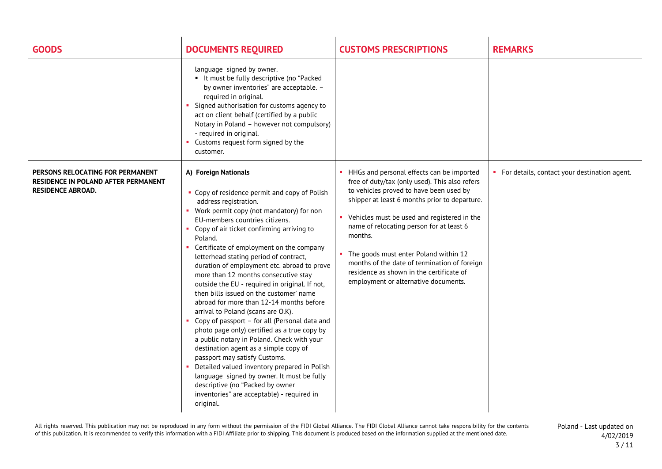| <b>GOODS</b>                                                                                               | <b>DOCUMENTS REQUIRED</b>                                                                                                                                                                                                                                                                                                                                                                                                                                                                                                                                                                                                                                                                                                                                                                                                                                                                                                                                                                                                  | <b>CUSTOMS PRESCRIPTIONS</b>                                                                                                                                                                                                                                                                                                                                                                                                                                                   | <b>REMARKS</b>                                 |
|------------------------------------------------------------------------------------------------------------|----------------------------------------------------------------------------------------------------------------------------------------------------------------------------------------------------------------------------------------------------------------------------------------------------------------------------------------------------------------------------------------------------------------------------------------------------------------------------------------------------------------------------------------------------------------------------------------------------------------------------------------------------------------------------------------------------------------------------------------------------------------------------------------------------------------------------------------------------------------------------------------------------------------------------------------------------------------------------------------------------------------------------|--------------------------------------------------------------------------------------------------------------------------------------------------------------------------------------------------------------------------------------------------------------------------------------------------------------------------------------------------------------------------------------------------------------------------------------------------------------------------------|------------------------------------------------|
|                                                                                                            | language signed by owner.<br>• It must be fully descriptive (no "Packed<br>by owner inventories" are acceptable. -<br>required in original.<br>Signed authorisation for customs agency to<br>act on client behalf (certified by a public<br>Notary in Poland - however not compulsory)<br>- required in original.<br>• Customs request form signed by the<br>customer.                                                                                                                                                                                                                                                                                                                                                                                                                                                                                                                                                                                                                                                     |                                                                                                                                                                                                                                                                                                                                                                                                                                                                                |                                                |
| PERSONS RELOCATING FOR PERMANENT<br><b>RESIDENCE IN POLAND AFTER PERMANENT</b><br><b>RESIDENCE ABROAD.</b> | A) Foreign Nationals<br>• Copy of residence permit and copy of Polish<br>address registration.<br>Work permit copy (not mandatory) for non<br>EU-members countries citizens.<br>• Copy of air ticket confirming arriving to<br>Poland.<br>Certificate of employment on the company<br>letterhead stating period of contract,<br>duration of employment etc. abroad to prove<br>more than 12 months consecutive stay<br>outside the EU - required in original. If not,<br>then bills issued on the customer' name<br>abroad for more than 12-14 months before<br>arrival to Poland (scans are O.K).<br>Copy of passport - for all (Personal data and<br>photo page only) certified as a true copy by<br>a public notary in Poland. Check with your<br>destination agent as a simple copy of<br>passport may satisfy Customs.<br>• Detailed valued inventory prepared in Polish<br>language signed by owner. It must be fully<br>descriptive (no "Packed by owner<br>inventories" are acceptable) - required in<br>original. | • HHGs and personal effects can be imported<br>free of duty/tax (only used). This also refers<br>to vehicles proved to have been used by<br>shipper at least 6 months prior to departure.<br>Vehicles must be used and registered in the<br>name of relocating person for at least 6<br>months.<br>• The goods must enter Poland within 12<br>months of the date of termination of foreign<br>residence as shown in the certificate of<br>employment or alternative documents. | • For details, contact your destination agent. |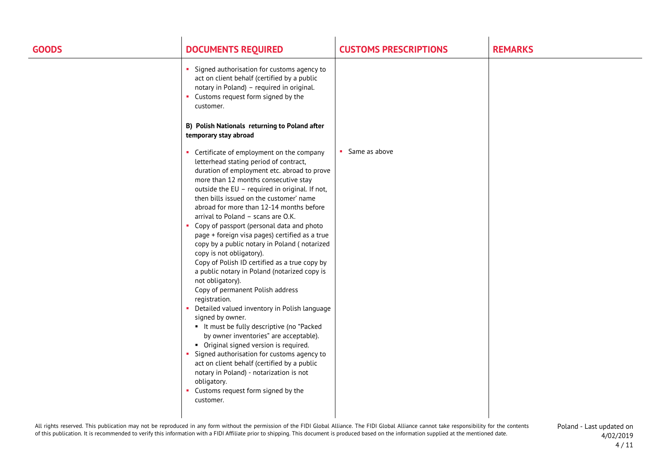| <b>GOODS</b> | <b>DOCUMENTS REQUIRED</b>                                                                                                                                                                                                                                                                                                                                                                                                                                                                                                                                                                                                                                                                                                                                                                                                                                                                                                                                                                                                                                                                                                                         | <b>CUSTOMS PRESCRIPTIONS</b> | <b>REMARKS</b> |
|--------------|---------------------------------------------------------------------------------------------------------------------------------------------------------------------------------------------------------------------------------------------------------------------------------------------------------------------------------------------------------------------------------------------------------------------------------------------------------------------------------------------------------------------------------------------------------------------------------------------------------------------------------------------------------------------------------------------------------------------------------------------------------------------------------------------------------------------------------------------------------------------------------------------------------------------------------------------------------------------------------------------------------------------------------------------------------------------------------------------------------------------------------------------------|------------------------------|----------------|
|              | Signed authorisation for customs agency to<br>act on client behalf (certified by a public<br>notary in Poland) - required in original.<br>Customs request form signed by the<br>customer.<br>B) Polish Nationals returning to Poland after<br>temporary stay abroad                                                                                                                                                                                                                                                                                                                                                                                                                                                                                                                                                                                                                                                                                                                                                                                                                                                                               |                              |                |
|              | • Certificate of employment on the company<br>letterhead stating period of contract,<br>duration of employment etc. abroad to prove<br>more than 12 months consecutive stay<br>outside the EU - required in original. If not,<br>then bills issued on the customer' name<br>abroad for more than 12-14 months before<br>arrival to Poland - scans are O.K.<br>Copy of passport (personal data and photo<br>page + foreign visa pages) certified as a true<br>copy by a public notary in Poland (notarized<br>copy is not obligatory).<br>Copy of Polish ID certified as a true copy by<br>a public notary in Poland (notarized copy is<br>not obligatory).<br>Copy of permanent Polish address<br>registration.<br>Detailed valued inventory in Polish language<br>signed by owner.<br>• It must be fully descriptive (no "Packed<br>by owner inventories" are acceptable).<br>• Original signed version is required.<br>Signed authorisation for customs agency to<br>$\mathbf{u}$<br>act on client behalf (certified by a public<br>notary in Poland) - notarization is not<br>obligatory.<br>• Customs request form signed by the<br>customer. | • Same as above              |                |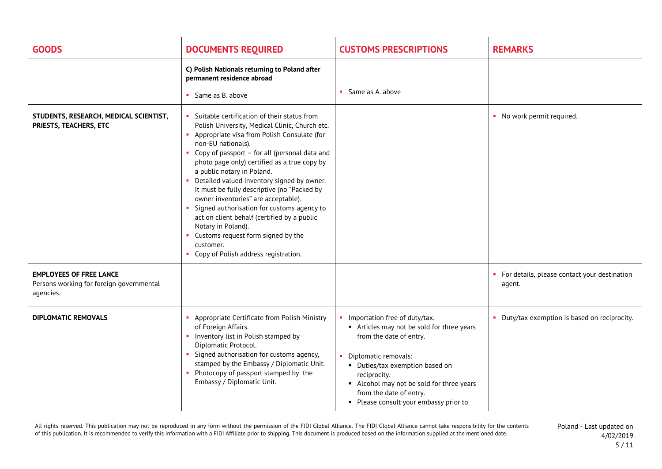| <b>GOODS</b>                                                                            | <b>DOCUMENTS REQUIRED</b>                                                                                                                                                                                                                                                                                                                                                                                                                                                                                                                                                                                                                                 | <b>CUSTOMS PRESCRIPTIONS</b>                                                                                                                                                                                                                                                                    | <b>REMARKS</b>                                           |
|-----------------------------------------------------------------------------------------|-----------------------------------------------------------------------------------------------------------------------------------------------------------------------------------------------------------------------------------------------------------------------------------------------------------------------------------------------------------------------------------------------------------------------------------------------------------------------------------------------------------------------------------------------------------------------------------------------------------------------------------------------------------|-------------------------------------------------------------------------------------------------------------------------------------------------------------------------------------------------------------------------------------------------------------------------------------------------|----------------------------------------------------------|
|                                                                                         | C) Polish Nationals returning to Poland after<br>permanent residence abroad<br>Same as B. above                                                                                                                                                                                                                                                                                                                                                                                                                                                                                                                                                           | • Same as A. above                                                                                                                                                                                                                                                                              |                                                          |
| STUDENTS, RESEARCH, MEDICAL SCIENTIST,<br>PRIESTS, TEACHERS, ETC                        | Suitable certification of their status from<br>Polish University, Medical Clinic, Church etc.<br>Appropriate visa from Polish Consulate (for<br>non-EU nationals).<br>• Copy of passport - for all (personal data and<br>photo page only) certified as a true copy by<br>a public notary in Poland.<br>Detailed valued inventory signed by owner.<br>It must be fully descriptive (no "Packed by<br>owner inventories" are acceptable).<br>Signed authorisation for customs agency to<br>act on client behalf (certified by a public<br>Notary in Poland).<br>• Customs request form signed by the<br>customer.<br>• Copy of Polish address registration. |                                                                                                                                                                                                                                                                                                 | • No work permit required.                               |
| <b>EMPLOYEES OF FREE LANCE</b><br>Persons working for foreign governmental<br>agencies. |                                                                                                                                                                                                                                                                                                                                                                                                                                                                                                                                                                                                                                                           |                                                                                                                                                                                                                                                                                                 | • For details, please contact your destination<br>agent. |
| <b>DIPLOMATIC REMOVALS</b>                                                              | Appropriate Certificate from Polish Ministry<br>of Foreign Affairs.<br>• Inventory list in Polish stamped by<br>Diplomatic Protocol.<br>Signed authorisation for customs agency,<br>stamped by the Embassy / Diplomatic Unit.<br>• Photocopy of passport stamped by the<br>Embassy / Diplomatic Unit.                                                                                                                                                                                                                                                                                                                                                     | Importation free of duty/tax.<br>Articles may not be sold for three years<br>from the date of entry.<br>Diplomatic removals:<br>• Duties/tax exemption based on<br>reciprocity.<br>Alcohol may not be sold for three years<br>from the date of entry.<br>• Please consult your embassy prior to | Duty/tax exemption is based on reciprocity.<br>л.        |

All rights reserved. This publication may not be reproduced in any form without the permission of the FIDI Global Alliance. The FIDI Global Alliance cannot take responsibility for the contents of this publication. It is recommended to verify this information with a FIDI Affiliate prior to shipping. This document is produced based on the information supplied at the mentioned date.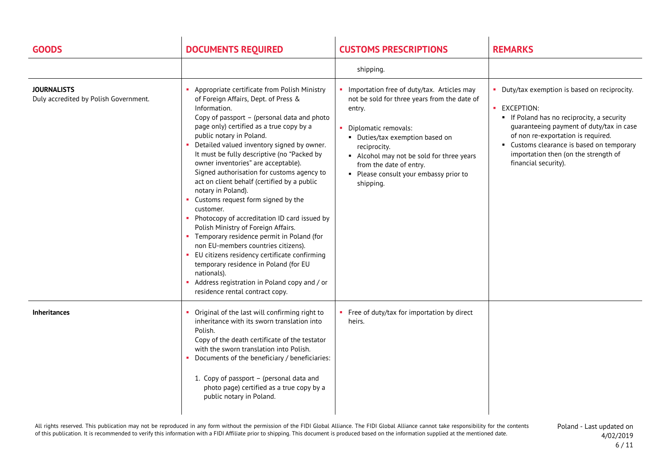| <b>GOODS</b>                                                | <b>DOCUMENTS REQUIRED</b>                                                                                                                                                                                                                                                                                                                                                                                                                                                                                                                                                                                                                                                                                                                                                                                                                                                                                                 | <b>CUSTOMS PRESCRIPTIONS</b>                                                                                                                                                                                                                                                                                 | <b>REMARKS</b>                                                                                                                                                                                                                                                                                         |
|-------------------------------------------------------------|---------------------------------------------------------------------------------------------------------------------------------------------------------------------------------------------------------------------------------------------------------------------------------------------------------------------------------------------------------------------------------------------------------------------------------------------------------------------------------------------------------------------------------------------------------------------------------------------------------------------------------------------------------------------------------------------------------------------------------------------------------------------------------------------------------------------------------------------------------------------------------------------------------------------------|--------------------------------------------------------------------------------------------------------------------------------------------------------------------------------------------------------------------------------------------------------------------------------------------------------------|--------------------------------------------------------------------------------------------------------------------------------------------------------------------------------------------------------------------------------------------------------------------------------------------------------|
|                                                             |                                                                                                                                                                                                                                                                                                                                                                                                                                                                                                                                                                                                                                                                                                                                                                                                                                                                                                                           | shipping.                                                                                                                                                                                                                                                                                                    |                                                                                                                                                                                                                                                                                                        |
| <b>JOURNALISTS</b><br>Duly accredited by Polish Government. | • Appropriate certificate from Polish Ministry<br>of Foreign Affairs, Dept. of Press &<br>Information.<br>Copy of passport - (personal data and photo<br>page only) certified as a true copy by a<br>public notary in Poland.<br>• Detailed valued inventory signed by owner.<br>It must be fully descriptive (no "Packed by<br>owner inventories" are acceptable).<br>Signed authorisation for customs agency to<br>act on client behalf (certified by a public<br>notary in Poland).<br>• Customs request form signed by the<br>customer.<br>• Photocopy of accreditation ID card issued by<br>Polish Ministry of Foreign Affairs.<br>• Temporary residence permit in Poland (for<br>non EU-members countries citizens).<br>• EU citizens residency certificate confirming<br>temporary residence in Poland (for EU<br>nationals).<br>• Address registration in Poland copy and / or<br>residence rental contract copy. | Importation free of duty/tax. Articles may<br>not be sold for three years from the date of<br>entry.<br>Diplomatic removals:<br>• Duties/tax exemption based on<br>reciprocity.<br>Alcohol may not be sold for three years<br>from the date of entry.<br>• Please consult your embassy prior to<br>shipping. | Duty/tax exemption is based on reciprocity.<br>• EXCEPTION:<br>• If Poland has no reciprocity, a security<br>guaranteeing payment of duty/tax in case<br>of non re-exportation is required.<br>Customs clearance is based on temporary<br>importation then (on the strength of<br>financial security). |
| <b>Inheritances</b>                                         | • Original of the last will confirming right to<br>inheritance with its sworn translation into<br>Polish.<br>Copy of the death certificate of the testator<br>with the sworn translation into Polish.<br>• Documents of the beneficiary / beneficiaries:<br>1. Copy of passport - (personal data and<br>photo page) certified as a true copy by a<br>public notary in Poland.                                                                                                                                                                                                                                                                                                                                                                                                                                                                                                                                             | Free of duty/tax for importation by direct<br>heirs.                                                                                                                                                                                                                                                         |                                                                                                                                                                                                                                                                                                        |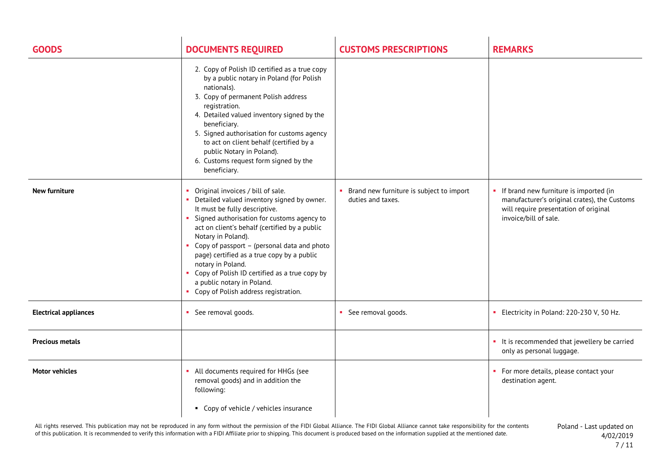| <b>GOODS</b>                 | <b>DOCUMENTS REQUIRED</b>                                                                                                                                                                                                                                                                                                                                                                                                                                                                  | <b>CUSTOMS PRESCRIPTIONS</b>                                  | <b>REMARKS</b>                                                                                                                                             |
|------------------------------|--------------------------------------------------------------------------------------------------------------------------------------------------------------------------------------------------------------------------------------------------------------------------------------------------------------------------------------------------------------------------------------------------------------------------------------------------------------------------------------------|---------------------------------------------------------------|------------------------------------------------------------------------------------------------------------------------------------------------------------|
|                              | 2. Copy of Polish ID certified as a true copy<br>by a public notary in Poland (for Polish<br>nationals).<br>3. Copy of permanent Polish address<br>registration.<br>4. Detailed valued inventory signed by the<br>beneficiary.<br>5. Signed authorisation for customs agency<br>to act on client behalf (certified by a<br>public Notary in Poland).<br>6. Customs request form signed by the<br>beneficiary.                                                                              |                                                               |                                                                                                                                                            |
| New furniture                | • Original invoices / bill of sale.<br>• Detailed valued inventory signed by owner.<br>It must be fully descriptive.<br>• Signed authorisation for customs agency to<br>act on client's behalf (certified by a public<br>Notary in Poland).<br>• Copy of passport - (personal data and photo<br>page) certified as a true copy by a public<br>notary in Poland.<br>• Copy of Polish ID certified as a true copy by<br>a public notary in Poland.<br>• Copy of Polish address registration. | Brand new furniture is subject to import<br>duties and taxes. | • If brand new furniture is imported (in<br>manufacturer's original crates), the Customs<br>will require presentation of original<br>invoice/bill of sale. |
| <b>Electrical appliances</b> | • See removal goods.                                                                                                                                                                                                                                                                                                                                                                                                                                                                       | • See removal goods.                                          | Electricity in Poland: 220-230 V, 50 Hz.                                                                                                                   |
| <b>Precious metals</b>       |                                                                                                                                                                                                                                                                                                                                                                                                                                                                                            |                                                               | • It is recommended that jewellery be carried<br>only as personal luggage.                                                                                 |
| <b>Motor vehicles</b>        | All documents required for HHGs (see<br>removal goods) and in addition the<br>following:<br>• Copy of vehicle / vehicles insurance                                                                                                                                                                                                                                                                                                                                                         |                                                               | For more details, please contact your<br>destination agent.                                                                                                |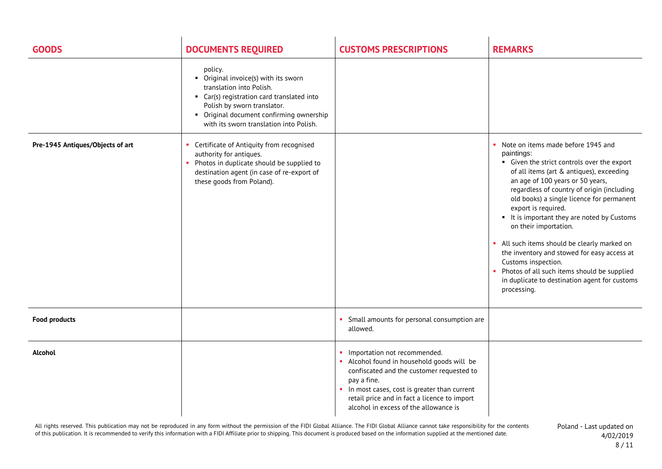| <b>GOODS</b>                     | <b>DOCUMENTS REQUIRED</b>                                                                                                                                                                                                                       | <b>CUSTOMS PRESCRIPTIONS</b>                                                                                                                                                                                                                                                          | <b>REMARKS</b>                                                                                                                                                                                                                                                                                                                                                                                                                                                                                                                                                                                                            |
|----------------------------------|-------------------------------------------------------------------------------------------------------------------------------------------------------------------------------------------------------------------------------------------------|---------------------------------------------------------------------------------------------------------------------------------------------------------------------------------------------------------------------------------------------------------------------------------------|---------------------------------------------------------------------------------------------------------------------------------------------------------------------------------------------------------------------------------------------------------------------------------------------------------------------------------------------------------------------------------------------------------------------------------------------------------------------------------------------------------------------------------------------------------------------------------------------------------------------------|
|                                  | policy.<br>• Original invoice(s) with its sworn<br>translation into Polish.<br>• Car(s) registration card translated into<br>Polish by sworn translator.<br>• Original document confirming ownership<br>with its sworn translation into Polish. |                                                                                                                                                                                                                                                                                       |                                                                                                                                                                                                                                                                                                                                                                                                                                                                                                                                                                                                                           |
| Pre-1945 Antiques/Objects of art | Certificate of Antiquity from recognised<br>authority for antiques.<br>• Photos in duplicate should be supplied to<br>destination agent (in case of re-export of<br>these goods from Poland).                                                   |                                                                                                                                                                                                                                                                                       | Note on items made before 1945 and<br>٠<br>paintings:<br>• Given the strict controls over the export<br>of all items (art & antiques), exceeding<br>an age of 100 years or 50 years,<br>regardless of country of origin (including<br>old books) a single licence for permanent<br>export is required.<br>• It is important they are noted by Customs<br>on their importation.<br>• All such items should be clearly marked on<br>the inventory and stowed for easy access at<br>Customs inspection.<br>Photos of all such items should be supplied<br>×.<br>in duplicate to destination agent for customs<br>processing. |
| <b>Food products</b>             |                                                                                                                                                                                                                                                 | Small amounts for personal consumption are<br>allowed.                                                                                                                                                                                                                                |                                                                                                                                                                                                                                                                                                                                                                                                                                                                                                                                                                                                                           |
| Alcohol                          |                                                                                                                                                                                                                                                 | Importation not recommended.<br>٠<br>• Alcohol found in household goods will be<br>confiscated and the customer requested to<br>pay a fine.<br>• In most cases, cost is greater than current<br>retail price and in fact a licence to import<br>alcohol in excess of the allowance is |                                                                                                                                                                                                                                                                                                                                                                                                                                                                                                                                                                                                                           |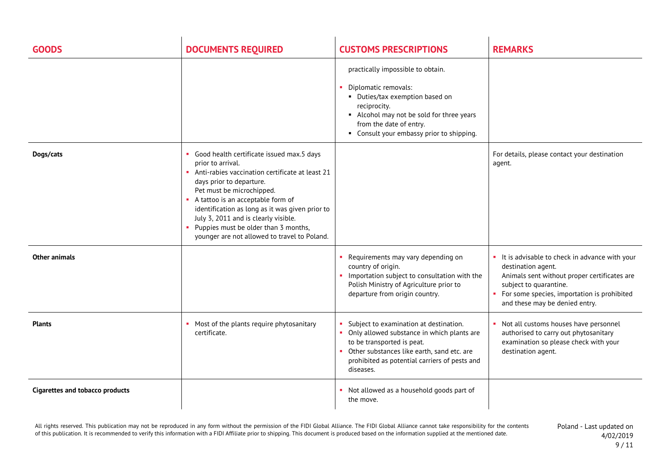| <b>GOODS</b>                           | <b>DOCUMENTS REQUIRED</b>                                                                                                                                                                                                                                                                                                                                                                            | <b>CUSTOMS PRESCRIPTIONS</b>                                                                                                                                                                                                      | <b>REMARKS</b>                                                                                                                                                                                                                                   |
|----------------------------------------|------------------------------------------------------------------------------------------------------------------------------------------------------------------------------------------------------------------------------------------------------------------------------------------------------------------------------------------------------------------------------------------------------|-----------------------------------------------------------------------------------------------------------------------------------------------------------------------------------------------------------------------------------|--------------------------------------------------------------------------------------------------------------------------------------------------------------------------------------------------------------------------------------------------|
|                                        |                                                                                                                                                                                                                                                                                                                                                                                                      | practically impossible to obtain.<br>Diplomatic removals:<br>• Duties/tax exemption based on<br>reciprocity.<br>• Alcohol may not be sold for three years<br>from the date of entry.<br>• Consult your embassy prior to shipping. |                                                                                                                                                                                                                                                  |
| Dogs/cats                              | Good health certificate issued max.5 days<br>prior to arrival.<br>Anti-rabies vaccination certificate at least 21<br>days prior to departure.<br>Pet must be microchipped.<br>A tattoo is an acceptable form of<br>identification as long as it was given prior to<br>July 3, 2011 and is clearly visible.<br>• Puppies must be older than 3 months,<br>younger are not allowed to travel to Poland. |                                                                                                                                                                                                                                   | For details, please contact your destination<br>agent.                                                                                                                                                                                           |
| Other animals                          |                                                                                                                                                                                                                                                                                                                                                                                                      | • Requirements may vary depending on<br>country of origin.<br>Importation subject to consultation with the<br>Polish Ministry of Agriculture prior to<br>departure from origin country.                                           | • It is advisable to check in advance with your<br>destination agent.<br>Animals sent without proper certificates are<br>subject to quarantine.<br>For some species, importation is prohibited<br>$\mathbf{u}$<br>and these may be denied entry. |
| <b>Plants</b>                          | Most of the plants require phytosanitary<br>certificate.                                                                                                                                                                                                                                                                                                                                             | Subject to examination at destination.<br>• Only allowed substance in which plants are<br>to be transported is peat.<br>Other substances like earth, sand etc. are<br>prohibited as potential carriers of pests and<br>diseases.  | • Not all customs houses have personnel<br>authorised to carry out phytosanitary<br>examination so please check with your<br>destination agent.                                                                                                  |
| <b>Cigarettes and tobacco products</b> |                                                                                                                                                                                                                                                                                                                                                                                                      | • Not allowed as a household goods part of<br>the move.                                                                                                                                                                           |                                                                                                                                                                                                                                                  |

All rights reserved. This publication may not be reproduced in any form without the permission of the FIDI Global Alliance. The FIDI Global Alliance cannot take responsibility for the contents of this publication. It is recommended to verify this information with a FIDI Affiliate prior to shipping. This document is produced based on the information supplied at the mentioned date.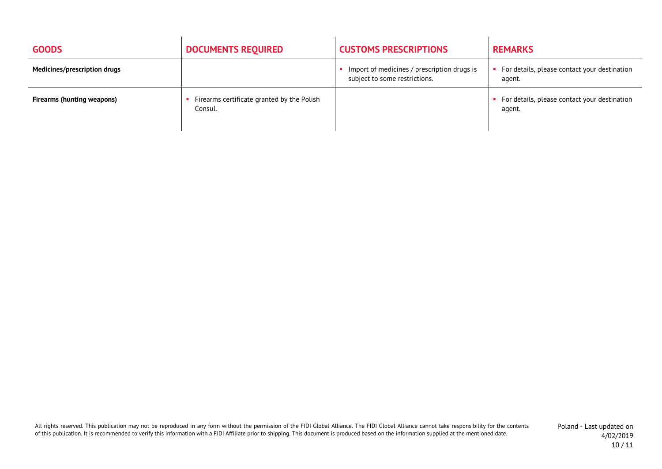| <b>GOODS</b>                      | <b>DOCUMENTS REQUIRED</b>                             | <b>CUSTOMS PRESCRIPTIONS</b>                                                 | <b>REMARKS</b>                                         |
|-----------------------------------|-------------------------------------------------------|------------------------------------------------------------------------------|--------------------------------------------------------|
| Medicines/prescription drugs      |                                                       | Import of medicines / prescription drugs is<br>subject to some restrictions. | For details, please contact your destination<br>agent. |
| <b>Firearms (hunting weapons)</b> | Firearms certificate granted by the Polish<br>Consul. |                                                                              | For details, please contact your destination<br>agent. |